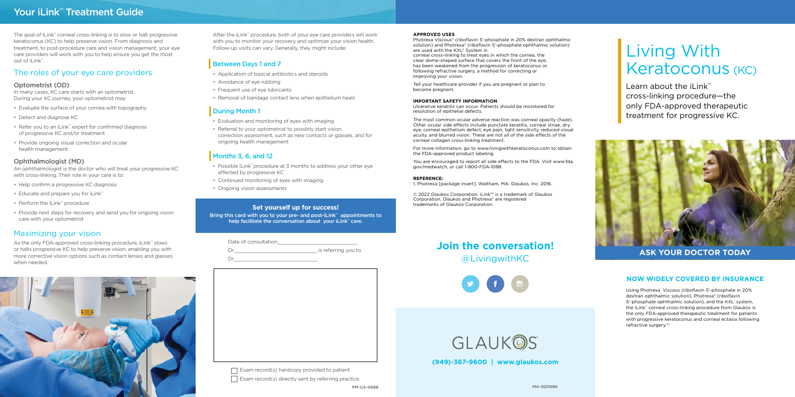Learn about the iLink™ cross-linking procedure—the only FDA-approved therapeutic treatment for progressive KC.



Using Photrexa<sup>®</sup> Viscous (riboflavin 5'-phosphate in 20% dextran ophthalmic solution), Photrexa® (riboflavin 5'-phosphate ophthalmic solution), and the KXL system, the iLink™ corneal cross-linking procedure from Glaukos is the only FDA-approved therapeutic treatment for patients with progressive keratoconus and corneal ectasia following refractive surgery.\*1

### **ASK YOUR DOCTOR TODAY**

### **NOW WIDELY COVERED BY INSURANCE**

### **APPROVED USES**

Photrexa Viscous® (riboflavin 5'-phosphate in 20% dextran ophthalmic solution) and Photrexa® (riboflavin 5'-phosphate ophthalmic solution) are used with the KXL® System in corneal cross-linking to treat eyes in which the cornea, the clear dome-shaped surface that covers the front of the eye, has been weakened from the progression of keratoconus or following refractive surgery, a method for correcting or improving your vision.

Tell your healthcare provider if you are pregnant or plan to become pregnant.

### **IMPORTANT SAFETY INFORMATION**

Ulcerative keratitis can occur. Patients should be monitored for resolution of epithelial defects.

Date of consultation  $\overline{\phantom{a}}$  is referring you to Dr\_\_\_\_\_\_\_\_\_\_\_\_\_\_\_\_\_\_\_\_\_\_\_\_\_\_\_\_.

The most common ocular adverse reaction was corneal opacity (haze). Other ocular side effects include punctate keratitis, corneal striae, dry eye, corneal epithelium defect, eye pain, light sensitivity, reduced visual acuity, and blurred vision. These are not all of the side effects of the corneal collagen cross-linking treatment.

For more information, go to www.livingwithkeratoconus.com to obtain the FDA-approved product labeling.

You are encouraged to report all side effects to the FDA. Visit www.fda. gov/medwatch, or call 1-800-FDA-1088.

### **REFERENCE:**

1. Photrexa [package insert]. Waltham, MA: Glaukos, Inc. 2016.

As the only FDA-approved cross-linking procedure, iLink™ slows or halts progressive KC to help preserve vision, enabling you with more corrective vision options such as contact lenses and glasses when needed.



© 2022 Glaukos Corporation. iLink™ is a trademark of Glaukos Corporation. Glaukos and Photrexa® are registered trademarks of Glaukos Corporation.

## **Join the conversation!** @LivingwithKC



GLAUKOS

# Living With Keratoconus (KC)

**(949)-367-9600 | www.glaukos.com**

 $\Box$  Exam record(s) hardcopy provided to patient  $\Box$  Exam record(s) directly sent by referring practice

After the iLink™ procedure, both of your eye care providers will work with you to monitor your recovery and optimize your vision health. Follow-up visits can vary. Generally, they might include:

### Between Days 1 and 7

- Application of topical antibiotics and steroids
- Avoidance of eye rubbing
- Frequent use of eye lubricants
- Removal of bandage contact lens when epithelium heals

### **During Month 1**

- Evaluation and monitoring of eyes with imaging
- Referral to your optometrist to possibly start vision correction assessment, such as new contacts or glasses, and for ongoing health management

### Months 3, 6, and 12

- Possible iLink™ procedure at 3 months to address your other eye affected by progressive KC
- Continued monitoring of eyes with imaging
- Ongoing vision assessments

### **Set yourself up for success!**

Bring this card with you to your pre- and post-iLink™ appointments to help facilitate the conversation about your iLink™ care.

PM-US-0688

## Your iLink<sup>™</sup> Treatment Guide

The goal of iLink™ corneal cross-linking is to slow or halt progressive keratoconus (KC) to help preserve vision. From diagnosis and treatment, to post-procedure care and vision management, your eye care providers will work with you to help ensure you get the most out of iLink™.

### Optometrist (OD)

In many cases, KC care starts with an optometrist. During your KC journey, your optometrist may:

- Evaluate the surface of your cornea with topography
- Detect and diagnose KC
- Refer you to an iLink™ expert for confirmed diagnosis of progressive KC and/or treatment
- Provide ongoing visual correction and ocular health management

### Ophthalmologist (MD)

An ophthalmologist is the doctor who will treat your progressive KC with cross-linking. Their role in your care is to:

- Help confirm a progressive KC diagnosis
- Educate and prepare you for iLink™
- Perform the iLink™ procedure
- Provide next steps for recovery and send you for ongoing vision care with your optometrist

### The roles of your eye care providers

### Maximizing your vision